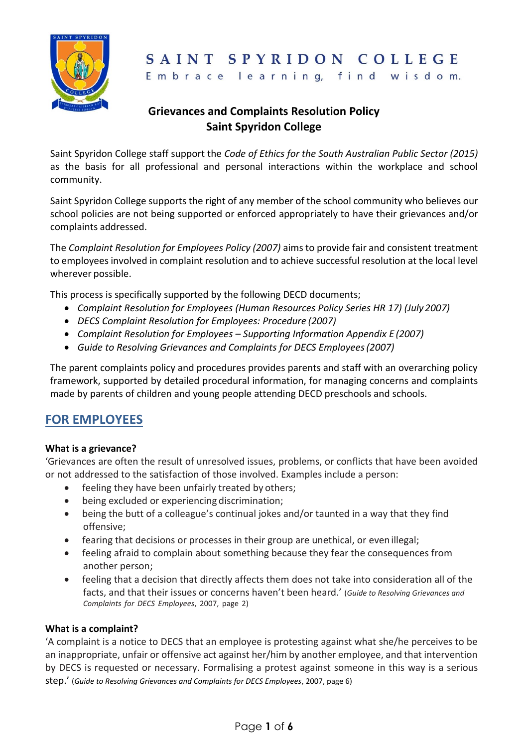

# SAINT SPYRIDON COLLEGE

Embrace learning, find wisdom.

## **Grievances and Complaints Resolution Policy Saint Spyridon College**

Saint Spyridon College staff support the *Code of Ethics for the South Australian Public Sector (2015)*  as the basis for all professional and personal interactions within the workplace and school community.

Saint Spyridon College supports the right of any member of the school community who believes our school policies are not being supported or enforced appropriately to have their grievances and/or complaints addressed.

The *Complaint Resolution for Employees Policy (2007)* aims to provide fair and consistent treatment to employees involved in complaint resolution and to achieve successful resolution at the local level wherever possible.

This process is specifically supported by the following DECD documents;

- *Complaint Resolution for Employees (Human Resources Policy Series HR 17) (July 2007)*
- *DECS Complaint Resolution for Employees: Procedure (2007)*
- *Complaint Resolution for Employees – Supporting Information Appendix E (2007)*
- *Guide to Resolving Grievances and Complaints for DECS Employees(2007)*

The parent complaints policy and procedures provides parents and staff with an overarching policy framework, supported by detailed procedural information, for managing concerns and complaints made by parents of children and young people attending DECD preschools and schools.

# **FOR EMPLOYEES**

#### **What is a grievance?**

'Grievances are often the result of unresolved issues, problems, or conflicts that have been avoided or not addressed to the satisfaction of those involved. Examples include a person:

- feeling they have been unfairly treated by others;
- being excluded or experiencing discrimination;
- being the butt of a colleague's continual jokes and/or taunted in a way that they find offensive;
- fearing that decisions or processes in their group are unethical, or evenillegal;
- feeling afraid to complain about something because they fear the consequences from another person;
- feeling that a decision that directly affects them does not take into consideration all of the facts, and that their issues or concerns haven't been heard.' (*Guide to Resolving Grievances and Complaints for DECS Employees*, 2007, page 2)

#### **What is a complaint?**

'A complaint is a notice to DECS that an employee is protesting against what she/he perceives to be an inappropriate, unfair or offensive act against her/him by another employee, and that intervention by DECS is requested or necessary. Formalising a protest against someone in this way is a serious step.' (*Guide to Resolving Grievances and Complaints for DECS Employees*, 2007, page 6)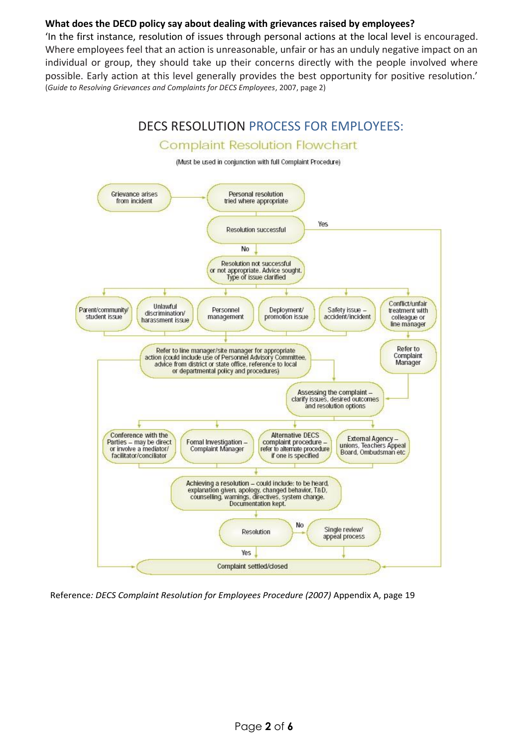#### **What does the DECD policy say about dealing with grievances raised by employees?**

'In the first instance, resolution of issues through personal actions at the local level is encouraged. Where employees feel that an action is unreasonable, unfair or has an unduly negative impact on an individual or group, they should take up their concerns directly with the people involved where possible. Early action at this level generally provides the best opportunity for positive resolution.' (*Guide to Resolving Grievances and Complaints for DECS Employees*, 2007, page 2)



Reference*: DECS Complaint Resolution for Employees Procedure (2007)* Appendix A, page 19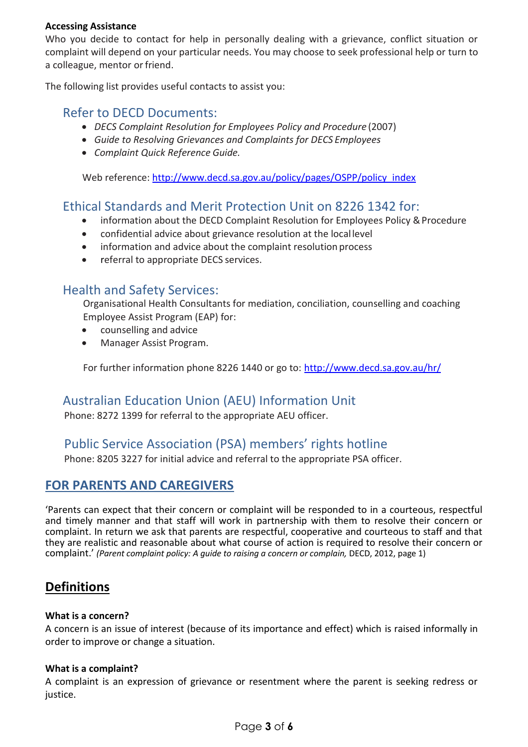#### **Accessing Assistance**

Who you decide to contact for help in personally dealing with a grievance, conflict situation or complaint will depend on your particular needs. You may choose to seek professional help or turn to a colleague, mentor or friend.

The following list provides useful contacts to assist you:

### Refer to DECD Documents:

- *DECS Complaint Resolution for Employees Policy and Procedure* (2007)
- *Guide to Resolving Grievances and Complaints for DECS Employees*
- *Complaint Quick Reference Guide.*

Web reference: [http://www.decd.sa.gov.au/policy/pages/OSPP/policy\\_index](http://www.decd.sa.gov.au/policy/pages/OSPP/policy_index)

## Ethical Standards and Merit Protection Unit on 8226 1342 for:

- information about the DECD Complaint Resolution for Employees Policy & Procedure
- confidential advice about grievance resolution at the locallevel
- information and advice about the complaint resolution process
- referral to appropriate DECS services.

### Health and Safety Services:

Organisational Health Consultants for mediation, conciliation, counselling and coaching Employee Assist Program (EAP) for:

- counselling and advice
- Manager Assist Program.

For further information phone 8226 1440 or go to:<http://www.decd.sa.gov.au/hr/>

# Australian Education Union (AEU) Information Unit

Phone: 8272 1399 for referral to the appropriate AEU officer.

## Public Service Association (PSA) members' rights hotline

Phone: 8205 3227 for initial advice and referral to the appropriate PSA officer.

## **FOR PARENTS AND CAREGIVERS**

'Parents can expect that their concern or complaint will be responded to in a courteous, respectful and timely manner and that staff will work in partnership with them to resolve their concern or complaint. In return we ask that parents are respectful, cooperative and courteous to staff and that they are realistic and reasonable about what course of action is required to resolve their concern or complaint.' (Parent complaint policy: A guide to raising a concern or complain, DECD, 2012, page 1)

# **Definitions**

#### **What is a concern?**

A concern is an issue of interest (because of its importance and effect) which is raised informally in order to improve or change a situation.

#### **What is a complaint?**

A complaint is an expression of grievance or resentment where the parent is seeking redress or justice.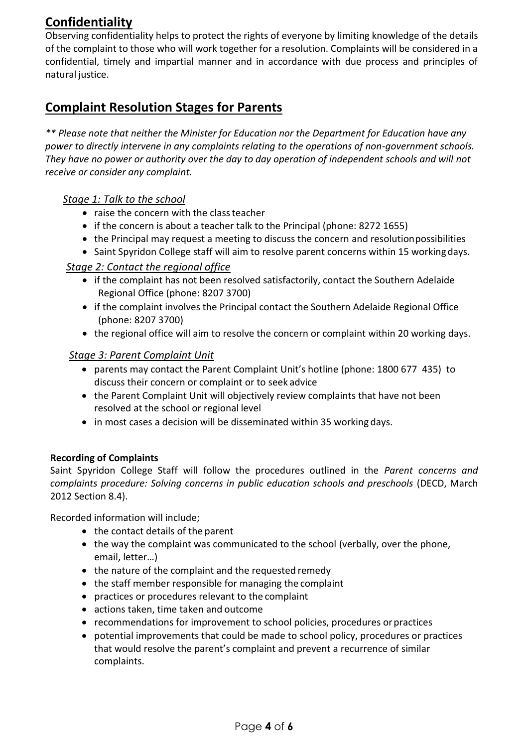# **Confidentiality**

Observing confidentiality helps to protect the rights of everyone by limiting knowledge of the details of the complaint to those who will work together for a resolution. Complaints will be considered in a confidential, timely and impartial manner and in accordance with due process and principles of natural justice.

# **Complaint Resolution Stages for Parents**

*\*\* Please note that neither the Minister for Education nor the Department for Education have any power to directly intervene in any complaints relating to the operations of non-government schools. They have no power or authority over the day to day operation of independent schools and will not receive or consider any complaint.* 

### *Stage 1: Talk to the school*

- raise the concern with the class teacher
- if the concern is about a teacher talk to the Principal (phone: 8272 1655)
- the Principal may request a meeting to discuss the concern and resolution possibilities
- Saint Spyridon College staff will aim to resolve parent concerns within 15 working days.

#### *Stage 2: Contact the regional office*

- if the complaint has not been resolved satisfactorily, contact the Southern Adelaide Regional Office (phone: 8207 3700)
- if the complaint involves the Principal contact the Southern Adelaide Regional Office (phone: 8207 3700)
- the regional office will aim to resolve the concern or complaint within 20 working days.

#### *Stage 3: Parent Complaint Unit*

- parents may contact the Parent Complaint Unit's hotline (phone: 1800 677 435) to discuss their concern or complaint or to seek advice
- the Parent Complaint Unit will objectively review complaints that have not been resolved at the school or regional level
- in most cases a decision will be disseminated within 35 working days.

#### **Recording of Complaints**

Saint Spyridon College Staff will follow the procedures outlined in the *Parent concerns and complaints procedure: Solving concerns in public education schools and preschools* (DECD, March 2012 Section 8.4).

Recorded information will include;

- the contact details of the parent
- the way the complaint was communicated to the school (verbally, over the phone, email, letter…)
- the nature of the complaint and the requested remedy
- the staff member responsible for managing the complaint
- practices or procedures relevant to the complaint
- actions taken, time taken and outcome
- recommendations for improvement to school policies, procedures orpractices
- potential improvements that could be made to school policy, procedures or practices that would resolve the parent's complaint and prevent a recurrence of similar complaints.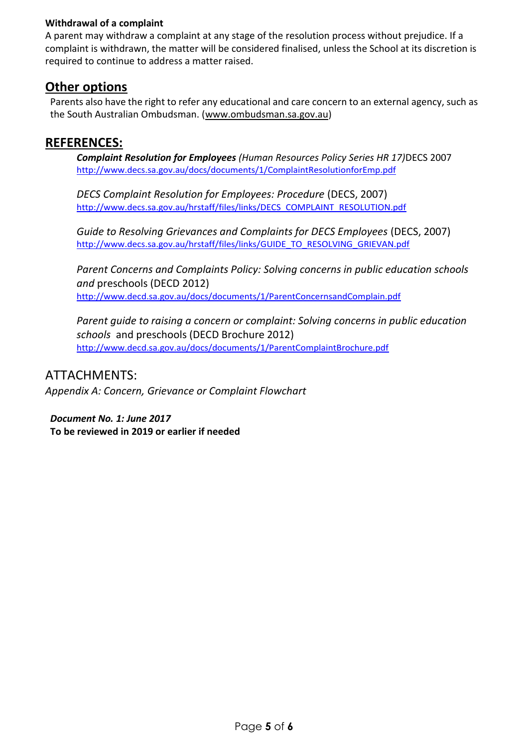#### **Withdrawal of a complaint**

A parent may withdraw a complaint at any stage of the resolution process without prejudice. If a complaint is withdrawn, the matter will be considered finalised, unless the School at its discretion is required to continue to address a matter raised.

### **Other options**

Parents also have the right to refer any educational and care concern to an external agency, such as the South Australian Ombudsman. (www.ombudsman.sa.gov.au)

### **REFERENCES:**

*Complaint Resolution for Employees (Human Resources Policy Series HR 17)*DECS 2007 <http://www.decs.sa.gov.au/docs/documents/1/ComplaintResolutionforEmp.pdf>

*DECS Complaint Resolution for Employees: Procedure* (DECS, 2007) [http://www.decs.sa.gov.au/hrstaff/files/links/DECS\\_COMPLAINT\\_RESOLUTION.pdf](http://www.decs.sa.gov.au/hrstaff/files/links/DECS_COMPLAINT_RESOLUTION.pdf)

*Guide to Resolving Grievances and Complaints for DECS Employees* (DECS, 2007) [http://www.decs.sa.gov.au/hrstaff/files/links/GUIDE\\_TO\\_RESOLVING\\_GRIEVAN.pdf](http://www.decs.sa.gov.au/hrstaff/files/links/GUIDE_TO_RESOLVING_GRIEVAN.pdf)

*Parent Concerns and Complaints Policy: Solving concerns in public education schools and* preschools (DECD 2012) <http://www.decd.sa.gov.au/docs/documents/1/ParentConcernsandComplain.pdf>

*Parent guide to raising a concern or complaint: Solving concerns in public education schools* and preschools (DECD Brochure 2012) <http://www.decd.sa.gov.au/docs/documents/1/ParentComplaintBrochure.pdf>

### ATTACHMENTS:

*Appendix A: Concern, Grievance or Complaint Flowchart*

*Document No. 1: June 2017*  **To be reviewed in 2019 or earlier if needed**